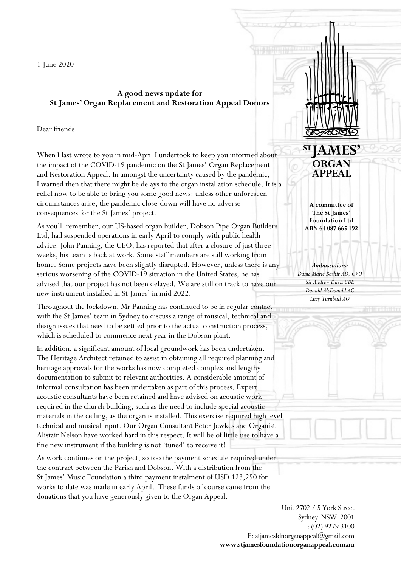1 June 2020

## **A good news update for St James' Organ Replacement and Restoration Appeal Donors**

## Dear friends

When I last wrote to you in mid-April I undertook to keep you informed about the impact of the COVID-19 pandemic on the St James' Organ Replacement and Restoration Appeal. In amongst the uncertainty caused by the pandemic, I warned then that there might be delays to the organ installation schedule. It is a relief now to be able to bring you some good news: unless other unforeseen circumstances arise, the pandemic close-down will have no adverse consequences for the St James' project.

As you'll remember, our US-based organ builder, Dobson Pipe Organ Builders Ltd, had suspended operations in early April to comply with public health advice. John Panning, the CEO, has reported that after a closure of just three weeks, his team is back at work. Some staff members are still working from home. Some projects have been slightly disrupted. However, unless there is any serious worsening of the COVID-19 situation in the United States, he has advised that our project has not been delayed. We are still on track to have our new instrument installed in St James' in mid 2022.

Throughout the lockdown, Mr Panning has continued to be in regular contact with the St James' team in Sydney to discuss a range of musical, technical and design issues that need to be settled prior to the actual construction process, which is scheduled to commence next year in the Dobson plant.

In addition, a significant amount of local groundwork has been undertaken. The Heritage Architect retained to assist in obtaining all required planning and heritage approvals for the works has now completed complex and lengthy documentation to submit to relevant authorities. A considerable amount of informal consultation has been undertaken as part of this process. Expert acoustic consultants have been retained and have advised on acoustic work required in the church building, such as the need to include special acoustic materials in the ceiling, as the organ is installed. This exercise required high level technical and musical input. Our Organ Consultant Peter Jewkes and Organist Alistair Nelson have worked hard in this respect. It will be of little use to have a fine new instrument if the building is not 'tuned' to receive it!

As work continues on the project, so too the payment schedule required under the contract between the Parish and Dobson. With a distribution from the St James' Music Foundation a third payment instalment of USD 123,250 for works to date was made in early April. These funds of course came from the donations that you have generously given to the Organ Appeal.

ORGAN **APPEAL** 

**A committee of The St James' Foundation Ltd ABN 64 087 665 192**

*Ambassadors: Dame Marie Bashir AD, CVO Sir Andrew Davis CBE Donald McDonald AC Lucy Turnbull AO*

Unit 2702 / 5 York Street Sydney NSW 2001 T: (02) 9279 3100 E: stjamesfdnorganappeal@gmail.com **www.stjamesfoundationorganappeal.com.au**